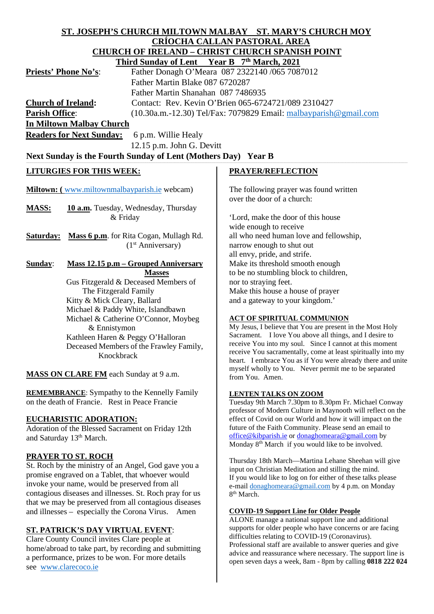#### **ST. JOSEPH'S CHURCH MILTOWN MALBAY ST. MARY'S CHURCH MOY CRÍOCHA CALLAN PASTORAL AREA CHURCH OF IRELAND – CHRIST CHURCH SPANISH POINT Third Sunday of Lent Year B 7th March, 2021 Priests' Phone No's**: Father Donagh O'Meara 087 2322140 /065 7087012 Father Martin Blake 087 6720287 Father Martin Shanahan 087 7486935 **Church of Ireland:** Contact: Rev. Kevin O'Brien 065-6724721/089 2310427 **Parish Office:** (10.30a.m.-12.30) Tel/Fax: 7079829 Email: [malbayparish@gmail.com](mailto:malbayparish@gmail.com) **In Miltown Malbay Church Readers for Next Sunday:** 6 p.m. Willie Healy 12.15 p.m. John G. Devitt Next Sunday is the Fourth Sunday of Lent (Mothers Day) Year B **LITURGIES FOR THIS WEEK: Miltown: (** [www.miltownmalbayparish.ie](http://www.miltownmalbayparish.ie/) webcam) **MASS: 10 a.m.** Tuesday, Wednesday, Thursday & Friday **Saturday: Mass 6 p.m**. for Rita Cogan, Mullagh Rd. (1st Anniversary) **Sunday**: **Mass 12.15 p.m – Grouped Anniversary Masses** Gus Fitzgerald & Deceased Members of The Fitzgerald Family Kitty & Mick Cleary, Ballard Michael & Paddy White, Islandbawn Michael & Catherine O'Connor, Moybeg & Ennistymon Kathleen Haren & Peggy O'Halloran Deceased Members of the Frawley Family, Knockbrack **MASS ON CLARE FM** each Sunday at 9 a.m. **PRAYER/REFLECTION** The following prayer was found written over the door of a church: 'Lord, make the door of this house wide enough to receive all who need human love and fellowship, narrow enough to shut out all envy, pride, and strife. Make its threshold smooth enough to be no stumbling block to children, nor to straying feet. Make this house a house of prayer and a gateway to your kingdom.' **ACT OF SPIRITUAL COMMUNION** My Jesus, I believe that You are present in the Most Holy Sacrament. I love You above all things, and I desire to receive You into my soul. Since I cannot at this moment myself wholly to You. Never permit me to be separated from You. Amen.

**REMEMBRANCE**: Sympathy to the Kennelly Family on the death of Francie. Rest in Peace Francie

# **EUCHARISTIC ADORATION:**

Adoration of the Blessed Sacrament on Friday 12th and Saturday 13<sup>th</sup> March.

## **PRAYER TO ST. ROCH**

St. Roch by the ministry of an Angel, God gave you a promise engraved on a Tablet, that whoever would invoke your name, would be preserved from all contagious diseases and illnesses. St. Roch pray for us that we may be preserved from all contagious diseases and illnesses – especially the Corona Virus. Amen

## **ST. PATRICK'S DAY VIRTUAL EVENT**:

Clare County Council invites Clare people at home/abroad to take part, by recording and submitting a performance, prizes to be won. For more details see [www.clarecoco.ie](http://www.clarecoco.ie/)

receive You sacramentally, come at least spiritually into my heart. I embrace You as if You were already there and unite

## **LENTEN TALKS ON ZOOM**

Tuesday 9th March 7.30pm to 8.30pm Fr. Michael Conway professor of Modern Culture in Maynooth will reflect on the effect of Covid on our World and how it will impact on the future of the Faith Community. Please send an email to [office@kibparish.ie](mailto:office@kibparish.ie) or [donaghomeara@gmail.com](mailto:donaghomeara@gmail.com) by Monday 8<sup>th</sup> March if you would like to be involved.

Thursday 18th March—Martina Lehane Sheehan will give input on Christian Meditation and stilling the mind. If you would like to log on for either of these talks please e-mai[l donaghomeara@gmail.com](mailto:donaghomeara@gmail.com) by 4 p.m. on Monday 8<sup>th</sup> March.

## **COVID-19 Support Line for Older People**

ALONE manage a national support line and additional supports for older people who have concerns or are facing difficulties relating to COVID-19 (Coronavirus). Professional staff are available to answer queries and give advice and reassurance where necessary. The support line is open seven days a week, 8am - 8pm by calling **0818 222 024**